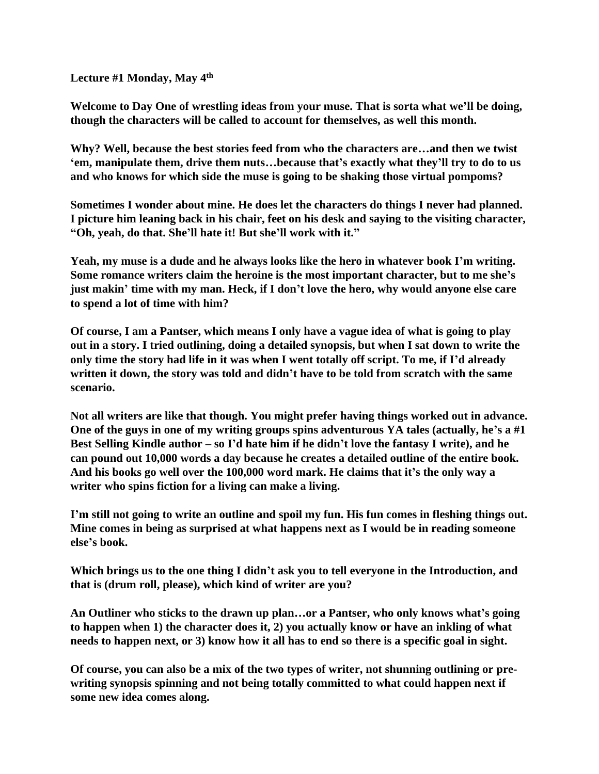**Lecture #1 Monday, May 4th**

**Welcome to Day One of wrestling ideas from your muse. That is sorta what we'll be doing, though the characters will be called to account for themselves, as well this month.**

**Why? Well, because the best stories feed from who the characters are…and then we twist 'em, manipulate them, drive them nuts…because that's exactly what they'll try to do to us and who knows for which side the muse is going to be shaking those virtual pompoms?**

**Sometimes I wonder about mine. He does let the characters do things I never had planned. I picture him leaning back in his chair, feet on his desk and saying to the visiting character, "Oh, yeah, do that. She'll hate it! But she'll work with it."**

**Yeah, my muse is a dude and he always looks like the hero in whatever book I'm writing. Some romance writers claim the heroine is the most important character, but to me she's just makin' time with my man. Heck, if I don't love the hero, why would anyone else care to spend a lot of time with him?**

**Of course, I am a Pantser, which means I only have a vague idea of what is going to play out in a story. I tried outlining, doing a detailed synopsis, but when I sat down to write the only time the story had life in it was when I went totally off script. To me, if I'd already written it down, the story was told and didn't have to be told from scratch with the same scenario.**

**Not all writers are like that though. You might prefer having things worked out in advance. One of the guys in one of my writing groups spins adventurous YA tales (actually, he's a #1 Best Selling Kindle author – so I'd hate him if he didn't love the fantasy I write), and he can pound out 10,000 words a day because he creates a detailed outline of the entire book. And his books go well over the 100,000 word mark. He claims that it's the only way a writer who spins fiction for a living can make a living.**

**I'm still not going to write an outline and spoil my fun. His fun comes in fleshing things out. Mine comes in being as surprised at what happens next as I would be in reading someone else's book.**

**Which brings us to the one thing I didn't ask you to tell everyone in the Introduction, and that is (drum roll, please), which kind of writer are you?**

**An Outliner who sticks to the drawn up plan…or a Pantser, who only knows what's going to happen when 1) the character does it, 2) you actually know or have an inkling of what needs to happen next, or 3) know how it all has to end so there is a specific goal in sight.**

**Of course, you can also be a mix of the two types of writer, not shunning outlining or prewriting synopsis spinning and not being totally committed to what could happen next if some new idea comes along.**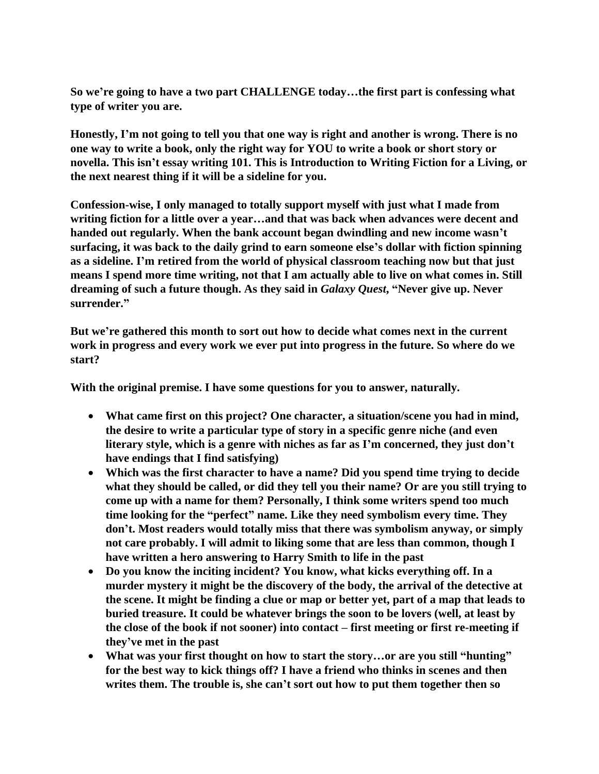**So we're going to have a two part CHALLENGE today…the first part is confessing what type of writer you are.** 

**Honestly, I'm not going to tell you that one way is right and another is wrong. There is no one way to write a book, only the right way for YOU to write a book or short story or novella. This isn't essay writing 101. This is Introduction to Writing Fiction for a Living, or the next nearest thing if it will be a sideline for you.**

**Confession-wise, I only managed to totally support myself with just what I made from writing fiction for a little over a year…and that was back when advances were decent and handed out regularly. When the bank account began dwindling and new income wasn't surfacing, it was back to the daily grind to earn someone else's dollar with fiction spinning as a sideline. I'm retired from the world of physical classroom teaching now but that just means I spend more time writing, not that I am actually able to live on what comes in. Still dreaming of such a future though. As they said in** *Galaxy Quest***, "Never give up. Never surrender."**

**But we're gathered this month to sort out how to decide what comes next in the current work in progress and every work we ever put into progress in the future. So where do we start?**

**With the original premise. I have some questions for you to answer, naturally.**

- **What came first on this project? One character, a situation/scene you had in mind, the desire to write a particular type of story in a specific genre niche (and even literary style, which is a genre with niches as far as I'm concerned, they just don't have endings that I find satisfying)**
- **Which was the first character to have a name? Did you spend time trying to decide what they should be called, or did they tell you their name? Or are you still trying to come up with a name for them? Personally, I think some writers spend too much time looking for the "perfect" name. Like they need symbolism every time. They don't. Most readers would totally miss that there was symbolism anyway, or simply not care probably. I will admit to liking some that are less than common, though I have written a hero answering to Harry Smith to life in the past**
- **Do you know the inciting incident? You know, what kicks everything off. In a murder mystery it might be the discovery of the body, the arrival of the detective at the scene. It might be finding a clue or map or better yet, part of a map that leads to buried treasure. It could be whatever brings the soon to be lovers (well, at least by the close of the book if not sooner) into contact – first meeting or first re-meeting if they've met in the past**
- **What was your first thought on how to start the story…or are you still "hunting" for the best way to kick things off? I have a friend who thinks in scenes and then writes them. The trouble is, she can't sort out how to put them together then so**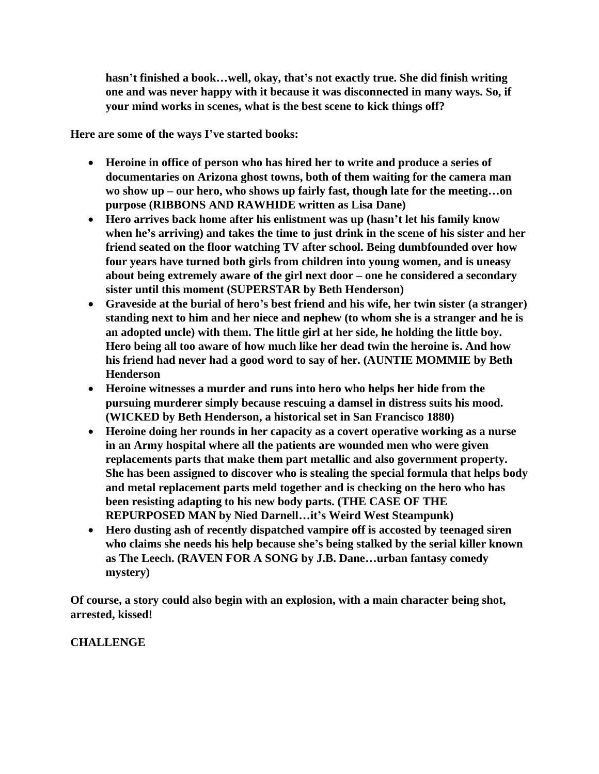**hasn't finished a book…well, okay, that's not exactly true. She did finish writing one and was never happy with it because it was disconnected in many ways. So, if your mind works in scenes, what is the best scene to kick things off?**

**Here are some of the ways I've started books:**

- **Heroine in office of person who has hired her to write and produce a series of documentaries on Arizona ghost towns, both of them waiting for the camera man wo show up – our hero, who shows up fairly fast, though late for the meeting…on purpose (RIBBONS AND RAWHIDE written as Lisa Dane)**
- **Hero arrives back home after his enlistment was up (hasn't let his family know when he's arriving) and takes the time to just drink in the scene of his sister and her friend seated on the floor watching TV after school. Being dumbfounded over how four years have turned both girls from children into young women, and is uneasy about being extremely aware of the girl next door – one he considered a secondary sister until this moment (SUPERSTAR by Beth Henderson)**
- **Graveside at the burial of hero's best friend and his wife, her twin sister (a stranger) standing next to him and her niece and nephew (to whom she is a stranger and he is an adopted uncle) with them. The little girl at her side, he holding the little boy. Hero being all too aware of how much like her dead twin the heroine is. And how his friend had never had a good word to say of her. (AUNTIE MOMMIE by Beth Henderson**
- **Heroine witnesses a murder and runs into hero who helps her hide from the pursuing murderer simply because rescuing a damsel in distress suits his mood. (WICKED by Beth Henderson, a historical set in San Francisco 1880)**
- **Heroine doing her rounds in her capacity as a covert operative working as a nurse in an Army hospital where all the patients are wounded men who were given replacements parts that make them part metallic and also government property. She has been assigned to discover who is stealing the special formula that helps body and metal replacement parts meld together and is checking on the hero who has been resisting adapting to his new body parts. (THE CASE OF THE REPURPOSED MAN by Nied Darnell…it's Weird West Steampunk)**
- **Hero dusting ash of recently dispatched vampire off is accosted by teenaged siren who claims she needs his help because she's being stalked by the serial killer known as The Leech. (RAVEN FOR A SONG by J.B. Dane…urban fantasy comedy mystery)**

**Of course, a story could also begin with an explosion, with a main character being shot, arrested, kissed!**

**CHALLENGE**